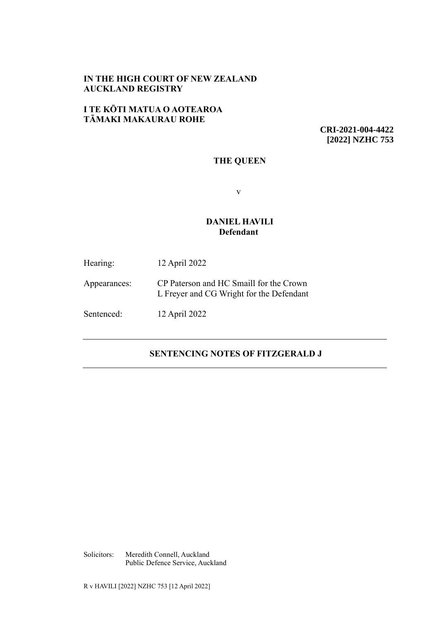## **IN THE HIGH COURT OF NEW ZEALAND AUCKLAND REGISTRY**

## **I TE KŌTI MATUA O AOTEAROA TĀMAKI MAKAURAU ROHE**

**CRI-2021-004-4422 [2022] NZHC 753**

## **THE QUEEN**

v

## **DANIEL HAVILI Defendant**

Hearing: 12 April 2022

Appearances: CP Paterson and HC Smaill for the Crown L Freyer and CG Wright for the Defendant

Sentenced: 12 April 2022

# **SENTENCING NOTES OF FITZGERALD J**

Solicitors: Meredith Connell, Auckland Public Defence Service, Auckland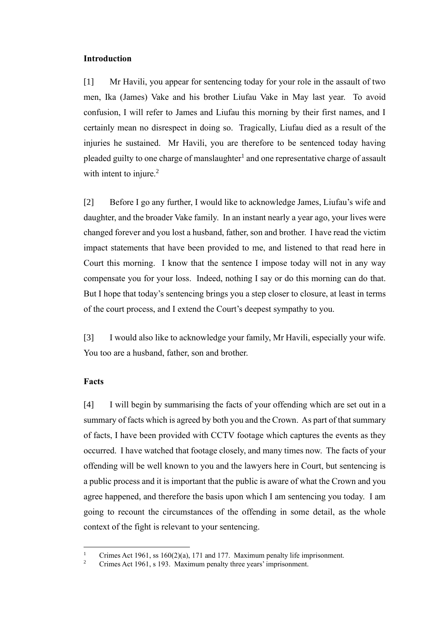### **Introduction**

[1] Mr Havili, you appear for sentencing today for your role in the assault of two men, Ika (James) Vake and his brother Liufau Vake in May last year. To avoid confusion, I will refer to James and Liufau this morning by their first names, and I certainly mean no disrespect in doing so. Tragically, Liufau died as a result of the injuries he sustained. Mr Havili, you are therefore to be sentenced today having pleaded guilty to one charge of manslaughter<sup>1</sup> and one representative charge of assault with intent to injure.<sup>2</sup>

[2] Before I go any further, I would like to acknowledge James, Liufau's wife and daughter, and the broader Vake family. In an instant nearly a year ago, your lives were changed forever and you lost a husband, father, son and brother. I have read the victim impact statements that have been provided to me, and listened to that read here in Court this morning. I know that the sentence I impose today will not in any way compensate you for your loss. Indeed, nothing I say or do this morning can do that. But I hope that today's sentencing brings you a step closer to closure, at least in terms of the court process, and I extend the Court's deepest sympathy to you.

[3] I would also like to acknowledge your family, Mr Havili, especially your wife. You too are a husband, father, son and brother.

#### **Facts**

[4] I will begin by summarising the facts of your offending which are set out in a summary of facts which is agreed by both you and the Crown. As part of that summary of facts, I have been provided with CCTV footage which captures the events as they occurred. I have watched that footage closely, and many times now. The facts of your offending will be well known to you and the lawyers here in Court, but sentencing is a public process and it is important that the public is aware of what the Crown and you agree happened, and therefore the basis upon which I am sentencing you today. I am going to recount the circumstances of the offending in some detail, as the whole context of the fight is relevant to your sentencing.

<sup>&</sup>lt;sup>1</sup> Crimes Act 1961, ss  $160(2)(a)$ , 171 and 177. Maximum penalty life imprisonment.<br><sup>2</sup> Crimes Act 1961, s 192. Maximum penalty three years' imprisonment.

Crimes Act 1961, s 193. Maximum penalty three years' imprisonment.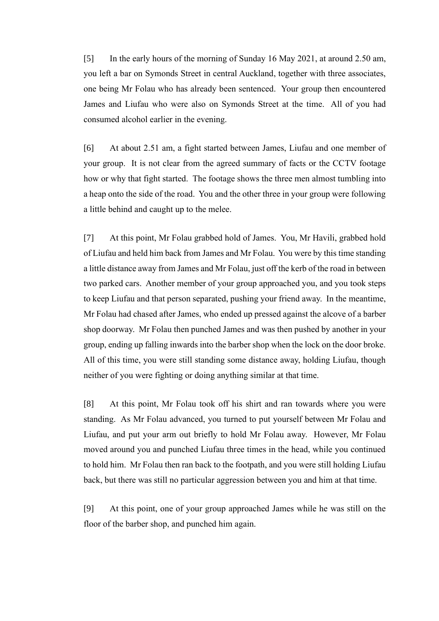[5] In the early hours of the morning of Sunday 16 May 2021, at around 2.50 am, you left a bar on Symonds Street in central Auckland, together with three associates, one being Mr Folau who has already been sentenced. Your group then encountered James and Liufau who were also on Symonds Street at the time. All of you had consumed alcohol earlier in the evening.

[6] At about 2.51 am, a fight started between James, Liufau and one member of your group. It is not clear from the agreed summary of facts or the CCTV footage how or why that fight started. The footage shows the three men almost tumbling into a heap onto the side of the road. You and the other three in your group were following a little behind and caught up to the melee.

[7] At this point, Mr Folau grabbed hold of James. You, Mr Havili, grabbed hold of Liufau and held him back from James and Mr Folau. You were by this time standing a little distance away from James and Mr Folau, just off the kerb of the road in between two parked cars. Another member of your group approached you, and you took steps to keep Liufau and that person separated, pushing your friend away. In the meantime, Mr Folau had chased after James, who ended up pressed against the alcove of a barber shop doorway. Mr Folau then punched James and was then pushed by another in your group, ending up falling inwards into the barber shop when the lock on the door broke. All of this time, you were still standing some distance away, holding Liufau, though neither of you were fighting or doing anything similar at that time.

[8] At this point, Mr Folau took off his shirt and ran towards where you were standing. As Mr Folau advanced, you turned to put yourself between Mr Folau and Liufau, and put your arm out briefly to hold Mr Folau away. However, Mr Folau moved around you and punched Liufau three times in the head, while you continued to hold him. Mr Folau then ran back to the footpath, and you were still holding Liufau back, but there was still no particular aggression between you and him at that time.

[9] At this point, one of your group approached James while he was still on the floor of the barber shop, and punched him again.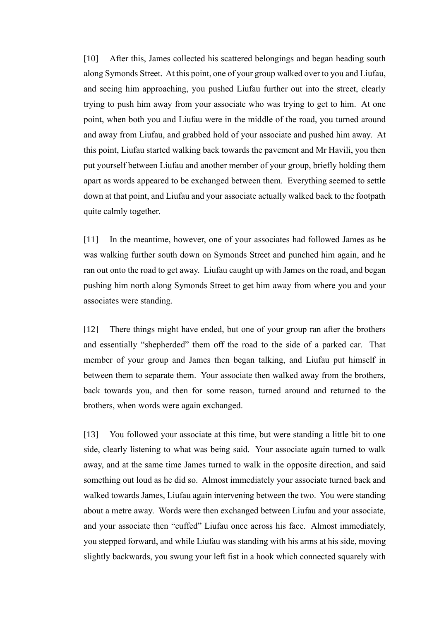[10] After this, James collected his scattered belongings and began heading south along Symonds Street. At this point, one of your group walked over to you and Liufau, and seeing him approaching, you pushed Liufau further out into the street, clearly trying to push him away from your associate who was trying to get to him. At one point, when both you and Liufau were in the middle of the road, you turned around and away from Liufau, and grabbed hold of your associate and pushed him away. At this point, Liufau started walking back towards the pavement and Mr Havili, you then put yourself between Liufau and another member of your group, briefly holding them apart as words appeared to be exchanged between them. Everything seemed to settle down at that point, and Liufau and your associate actually walked back to the footpath quite calmly together.

[11] In the meantime, however, one of your associates had followed James as he was walking further south down on Symonds Street and punched him again, and he ran out onto the road to get away. Liufau caught up with James on the road, and began pushing him north along Symonds Street to get him away from where you and your associates were standing.

[12] There things might have ended, but one of your group ran after the brothers and essentially "shepherded" them off the road to the side of a parked car. That member of your group and James then began talking, and Liufau put himself in between them to separate them. Your associate then walked away from the brothers, back towards you, and then for some reason, turned around and returned to the brothers, when words were again exchanged.

[13] You followed your associate at this time, but were standing a little bit to one side, clearly listening to what was being said. Your associate again turned to walk away, and at the same time James turned to walk in the opposite direction, and said something out loud as he did so. Almost immediately your associate turned back and walked towards James, Liufau again intervening between the two. You were standing about a metre away. Words were then exchanged between Liufau and your associate, and your associate then "cuffed" Liufau once across his face. Almost immediately, you stepped forward, and while Liufau was standing with his arms at his side, moving slightly backwards, you swung your left fist in a hook which connected squarely with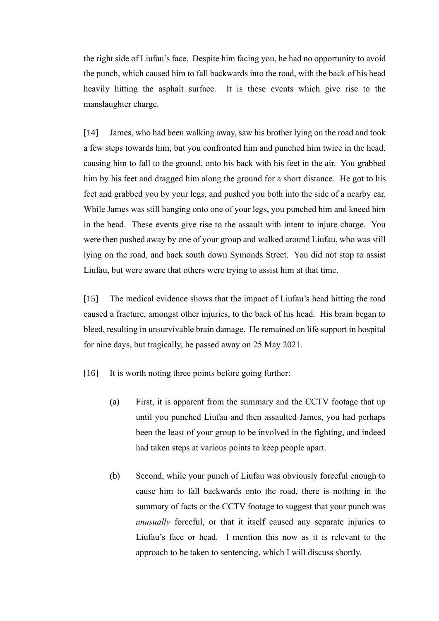the right side of Liufau's face. Despite him facing you, he had no opportunity to avoid the punch, which caused him to fall backwards into the road, with the back of his head heavily hitting the asphalt surface. It is these events which give rise to the manslaughter charge.

[14] James, who had been walking away, saw his brother lying on the road and took a few steps towards him, but you confronted him and punched him twice in the head, causing him to fall to the ground, onto his back with his feet in the air. You grabbed him by his feet and dragged him along the ground for a short distance. He got to his feet and grabbed you by your legs, and pushed you both into the side of a nearby car. While James was still hanging onto one of your legs, you punched him and kneed him in the head. These events give rise to the assault with intent to injure charge. You were then pushed away by one of your group and walked around Liufau, who was still lying on the road, and back south down Symonds Street. You did not stop to assist Liufau, but were aware that others were trying to assist him at that time.

[15] The medical evidence shows that the impact of Liufau's head hitting the road caused a fracture, amongst other injuries, to the back of his head. His brain began to bleed, resulting in unsurvivable brain damage. He remained on life support in hospital for nine days, but tragically, he passed away on 25 May 2021.

- [16] It is worth noting three points before going further:
	- (a) First, it is apparent from the summary and the CCTV footage that up until you punched Liufau and then assaulted James, you had perhaps been the least of your group to be involved in the fighting, and indeed had taken steps at various points to keep people apart.
	- (b) Second, while your punch of Liufau was obviously forceful enough to cause him to fall backwards onto the road, there is nothing in the summary of facts or the CCTV footage to suggest that your punch was *unusually* forceful, or that it itself caused any separate injuries to Liufau's face or head. I mention this now as it is relevant to the approach to be taken to sentencing, which I will discuss shortly.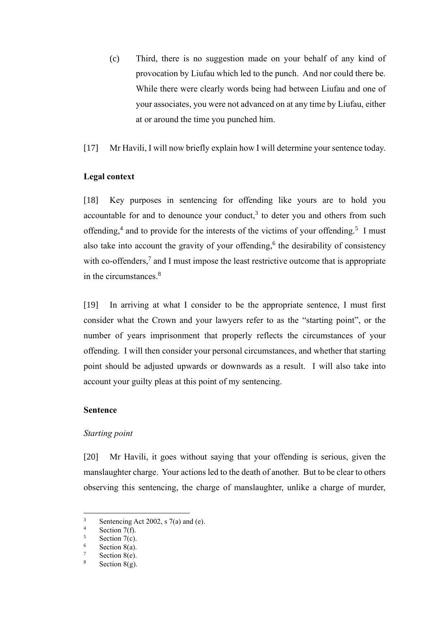(c) Third, there is no suggestion made on your behalf of any kind of provocation by Liufau which led to the punch. And nor could there be. While there were clearly words being had between Liufau and one of your associates, you were not advanced on at any time by Liufau, either at or around the time you punched him.

[17] Mr Havili, I will now briefly explain how I will determine your sentence today.

## **Legal context**

[18] Key purposes in sentencing for offending like yours are to hold you accountable for and to denounce your conduct, $3$  to deter you and others from such offending,<sup>4</sup> and to provide for the interests of the victims of your offending.<sup>5</sup> I must also take into account the gravity of your offending,<sup>6</sup> the desirability of consistency with co-offenders,<sup>7</sup> and I must impose the least restrictive outcome that is appropriate in the circumstances. 8

[19] In arriving at what I consider to be the appropriate sentence, I must first consider what the Crown and your lawyers refer to as the "starting point", or the number of years imprisonment that properly reflects the circumstances of your offending. I will then consider your personal circumstances, and whether that starting point should be adjusted upwards or downwards as a result. I will also take into account your guilty pleas at this point of my sentencing.

## **Sentence**

## *Starting point*

[20] Mr Havili, it goes without saying that your offending is serious, given the manslaughter charge. Your actions led to the death of another. But to be clear to others observing this sentencing, the charge of manslaughter, unlike a charge of murder,

<sup>&</sup>lt;sup>3</sup><br>Sentencing Act 2002, s 7(a) and (e).<br>Section 7(f)

 $\frac{4}{5}$  Section 7(f).

Section 7(c).

 $\frac{6}{7}$  Section 8(a).

 $\frac{7}{8}$  Section 8(e).

Section  $8(g)$ .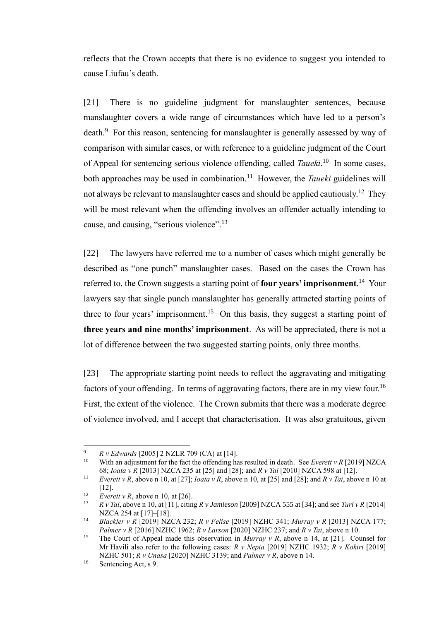reflects that the Crown accepts that there is no evidence to suggest you intended to cause Liufau's death.

[21] There is no guideline judgment for manslaughter sentences, because manslaughter covers a wide range of circumstances which have led to a person's death.<sup>9</sup> For this reason, sentencing for manslaughter is generally assessed by way of comparison with similar cases, or with reference to a guideline judgment of the Court of Appeal for sentencing serious violence offending, called *Taueki*.<sup>10</sup> In some cases, both approaches may be used in combination.<sup>11</sup> However, the *Taueki* guidelines will not always be relevant to manslaughter cases and should be applied cautiously.<sup>12</sup> They will be most relevant when the offending involves an offender actually intending to cause, and causing, "serious violence".<sup>13</sup>

[22] The lawyers have referred me to a number of cases which might generally be described as "one punch" manslaughter cases. Based on the cases the Crown has referred to, the Crown suggests a starting point of **four years' imprisonment**.<sup>14</sup> Your lawyers say that single punch manslaughter has generally attracted starting points of three to four years' imprisonment.<sup>15</sup> On this basis, they suggest a starting point of **three years and nine months' imprisonment**. As will be appreciated, there is not a lot of difference between the two suggested starting points, only three months.

[23] The appropriate starting point needs to reflect the aggravating and mitigating factors of your offending. In terms of aggravating factors, there are in my view four.<sup>16</sup> First, the extent of the violence. The Crown submits that there was a moderate degree of violence involved, and I accept that characterisation. It was also gratuitous, given

<sup>9</sup> *R v Edwards* [2005] 2 NZLR 709 (CA) at [14].

<sup>&</sup>lt;sup>10</sup> With an adjustment for the fact the offending has resulted in death. See *Everett v R* [2019] NZCA 68; *Ioata v R* [2013] NZCA 235 at [25] and [28]; and *R v Tai* [2010] NZCA 598 at [12].

<sup>11</sup> *Everett v R*, above n 10, at [27]; *Ioata v R*, above n 10, at [25] and [28]; and *R v Tai*, above n 10 at [12].

<sup>&</sup>lt;sup>12</sup> *Everett v R*, above n 10, at [26].

<sup>13</sup> *R v Tai*, above n 10, at [11], citing *R v Jamieson* [2009] NZCA 555 at [34]; and see *Turi v R* [2014] NZCA 254 at [17]–[18].

<sup>14</sup> *Blackler v R* [2019] NZCA 232; *R v Felise* [2019] NZHC 341; *Murray v R* [2013] NZCA 177; *Palmer v R* [2016] NZHC 1962; *R v Larson* [2020] NZHC 237; and *R v Tai*, above n 10.

<sup>15</sup> The Court of Appeal made this observation in *Murray v R*, above n 14, at [21]. Counsel for Mr Havili also refer to the following cases: *R v Nepia* [2019] NZHC 1932; *R v Kokiri* [2019] NZHC 501; *R v Unasa* [2020] NZHC 3139; and *Palmer v R*, above n 14.

<sup>16</sup> Sentencing Act, s 9.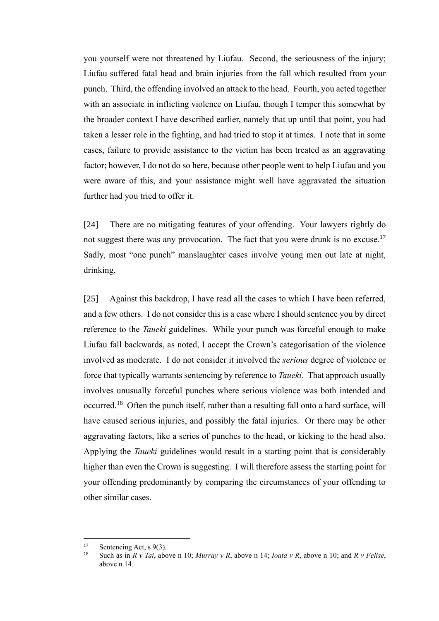you yourself were not threatened by Liufau. Second, the seriousness of the injury; Liufau suffered fatal head and brain injuries from the fall which resulted from your punch. Third, the offending involved an attack to the head. Fourth, you acted together with an associate in inflicting violence on Liufau, though I temper this somewhat by the broader context I have described earlier, namely that up until that point, you had taken a lesser role in the fighting, and had tried to stop it at times. I note that in some cases, failure to provide assistance to the victim has been treated as an aggravating factor; however, I do not do so here, because other people went to help Liufau and you were aware of this, and your assistance might well have aggravated the situation further had you tried to offer it.

[24] There are no mitigating features of your offending. Your lawyers rightly do not suggest there was any provocation. The fact that you were drunk is no excuse.<sup>17</sup> Sadly, most "one punch" manslaughter cases involve young men out late at night, drinking.

[25] Against this backdrop, I have read all the cases to which I have been referred, and a few others. I do not consider this is a case where I should sentence you by direct reference to the *Taueki* guidelines. While your punch was forceful enough to make Liufau fall backwards, as noted, I accept the Crown's categorisation of the violence involved as moderate. I do not consider it involved the *serious* degree of violence or force that typically warrants sentencing by reference to *Taueki*. That approach usually involves unusually forceful punches where serious violence was both intended and occurred.<sup>18</sup> Often the punch itself, rather than a resulting fall onto a hard surface, will have caused serious injuries, and possibly the fatal injuries. Or there may be other aggravating factors, like a series of punches to the head, or kicking to the head also. Applying the *Taueki* guidelines would result in a starting point that is considerably higher than even the Crown is suggesting. I will therefore assess the starting point for your offending predominantly by comparing the circumstances of your offending to other similar cases.

<sup>&</sup>lt;sup>17</sup> Sentencing Act, s 9(3).

<sup>18</sup> Such as in *R v Tai*, above n 10; *Murray v R*, above n 14; *Ioata v R*, above n 10; and *R v Felise*, above n 14*.*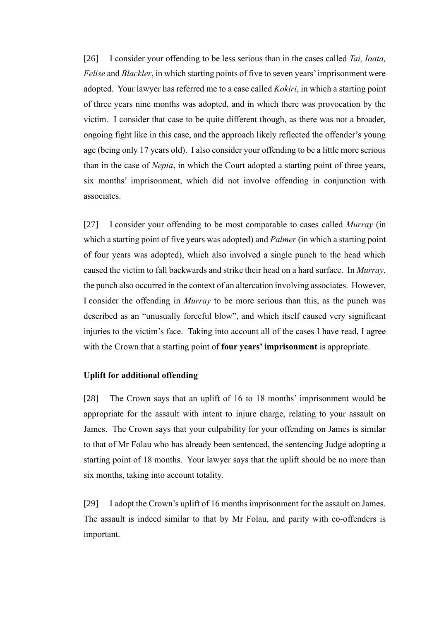[26] I consider your offending to be less serious than in the cases called *Tai, Ioata, Felise* and *Blackler*, in which starting points of five to seven years' imprisonment were adopted. Your lawyer has referred me to a case called *Kokiri*, in which a starting point of three years nine months was adopted, and in which there was provocation by the victim. I consider that case to be quite different though, as there was not a broader, ongoing fight like in this case, and the approach likely reflected the offender's young age (being only 17 years old). I also consider your offending to be a little more serious than in the case of *Nepia*, in which the Court adopted a starting point of three years, six months' imprisonment, which did not involve offending in conjunction with associates.

[27] I consider your offending to be most comparable to cases called *Murray* (in which a starting point of five years was adopted) and *Palmer* (in which a starting point of four years was adopted), which also involved a single punch to the head which caused the victim to fall backwards and strike their head on a hard surface. In *Murray*, the punch also occurred in the context of an altercation involving associates. However, I consider the offending in *Murray* to be more serious than this, as the punch was described as an "unusually forceful blow", and which itself caused very significant injuries to the victim's face. Taking into account all of the cases I have read, I agree with the Crown that a starting point of **four years' imprisonment** is appropriate.

## **Uplift for additional offending**

[28] The Crown says that an uplift of 16 to 18 months' imprisonment would be appropriate for the assault with intent to injure charge, relating to your assault on James. The Crown says that your culpability for your offending on James is similar to that of Mr Folau who has already been sentenced, the sentencing Judge adopting a starting point of 18 months. Your lawyer says that the uplift should be no more than six months, taking into account totality.

[29] I adopt the Crown's uplift of 16 months imprisonment for the assault on James. The assault is indeed similar to that by Mr Folau, and parity with co-offenders is important.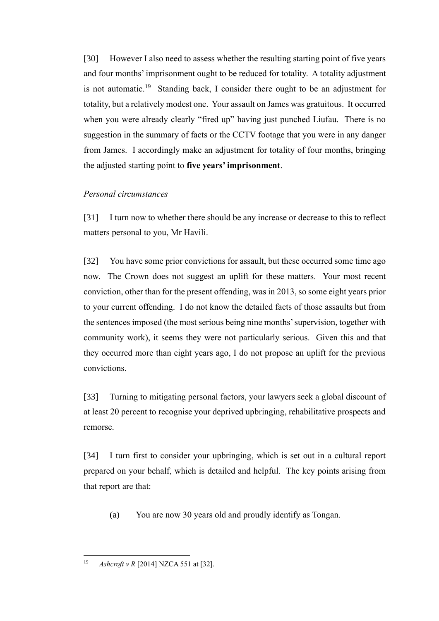[30] However I also need to assess whether the resulting starting point of five years and four months' imprisonment ought to be reduced for totality. A totality adjustment is not automatic.<sup>19</sup> Standing back, I consider there ought to be an adjustment for totality, but a relatively modest one. Your assault on James was gratuitous. It occurred when you were already clearly "fired up" having just punched Liufau. There is no suggestion in the summary of facts or the CCTV footage that you were in any danger from James. I accordingly make an adjustment for totality of four months, bringing the adjusted starting point to **five years' imprisonment**.

## *Personal circumstances*

[31] I turn now to whether there should be any increase or decrease to this to reflect matters personal to you, Mr Havili.

[32] You have some prior convictions for assault, but these occurred some time ago now. The Crown does not suggest an uplift for these matters. Your most recent conviction, other than for the present offending, was in 2013, so some eight years prior to your current offending. I do not know the detailed facts of those assaults but from the sentences imposed (the most serious being nine months' supervision, together with community work), it seems they were not particularly serious. Given this and that they occurred more than eight years ago, I do not propose an uplift for the previous convictions.

[33] Turning to mitigating personal factors, your lawyers seek a global discount of at least 20 percent to recognise your deprived upbringing, rehabilitative prospects and remorse.

[34] I turn first to consider your upbringing, which is set out in a cultural report prepared on your behalf, which is detailed and helpful. The key points arising from that report are that:

(a) You are now 30 years old and proudly identify as Tongan.

<sup>19</sup> *Ashcroft v R* [2014] NZCA 551 at [32].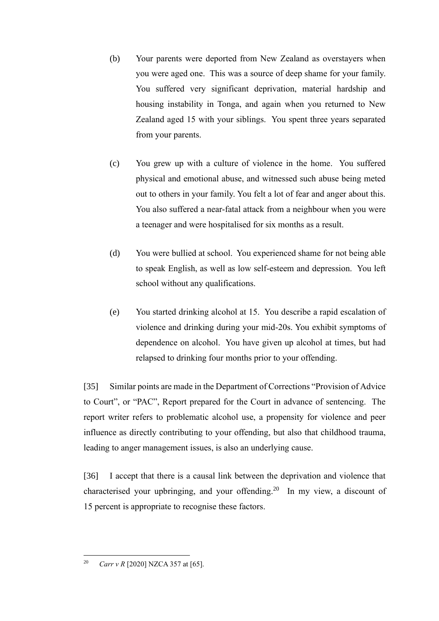- (b) Your parents were deported from New Zealand as overstayers when you were aged one. This was a source of deep shame for your family. You suffered very significant deprivation, material hardship and housing instability in Tonga, and again when you returned to New Zealand aged 15 with your siblings. You spent three years separated from your parents.
- (c) You grew up with a culture of violence in the home. You suffered physical and emotional abuse, and witnessed such abuse being meted out to others in your family. You felt a lot of fear and anger about this. You also suffered a near-fatal attack from a neighbour when you were a teenager and were hospitalised for six months as a result.
- (d) You were bullied at school. You experienced shame for not being able to speak English, as well as low self-esteem and depression. You left school without any qualifications.
- (e) You started drinking alcohol at 15. You describe a rapid escalation of violence and drinking during your mid-20s. You exhibit symptoms of dependence on alcohol. You have given up alcohol at times, but had relapsed to drinking four months prior to your offending.

[35] Similar points are made in the Department of Corrections "Provision of Advice to Court", or "PAC", Report prepared for the Court in advance of sentencing. The report writer refers to problematic alcohol use, a propensity for violence and peer influence as directly contributing to your offending, but also that childhood trauma, leading to anger management issues, is also an underlying cause.

[36] I accept that there is a causal link between the deprivation and violence that characterised your upbringing, and your offending.<sup>20</sup> In my view, a discount of 15 percent is appropriate to recognise these factors.

<sup>20</sup> *Carr v R* [2020] NZCA 357 at [65].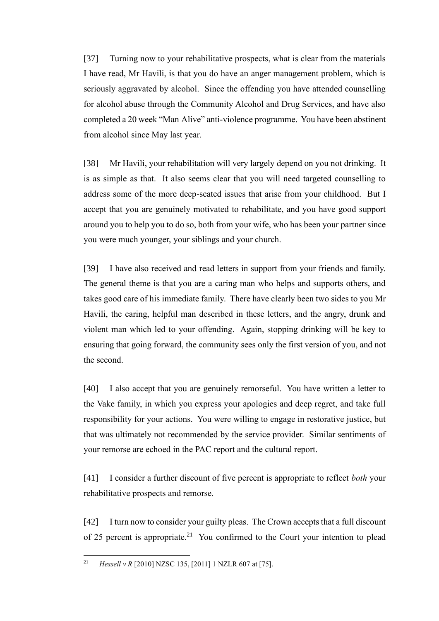[37] Turning now to your rehabilitative prospects, what is clear from the materials I have read, Mr Havili, is that you do have an anger management problem, which is seriously aggravated by alcohol. Since the offending you have attended counselling for alcohol abuse through the Community Alcohol and Drug Services, and have also completed a 20 week "Man Alive" anti-violence programme. You have been abstinent from alcohol since May last year.

[38] Mr Havili, your rehabilitation will very largely depend on you not drinking. It is as simple as that. It also seems clear that you will need targeted counselling to address some of the more deep-seated issues that arise from your childhood. But I accept that you are genuinely motivated to rehabilitate, and you have good support around you to help you to do so, both from your wife, who has been your partner since you were much younger, your siblings and your church.

[39] I have also received and read letters in support from your friends and family. The general theme is that you are a caring man who helps and supports others, and takes good care of his immediate family. There have clearly been two sides to you Mr Havili, the caring, helpful man described in these letters, and the angry, drunk and violent man which led to your offending. Again, stopping drinking will be key to ensuring that going forward, the community sees only the first version of you, and not the second.

[40] I also accept that you are genuinely remorseful. You have written a letter to the Vake family, in which you express your apologies and deep regret, and take full responsibility for your actions. You were willing to engage in restorative justice, but that was ultimately not recommended by the service provider. Similar sentiments of your remorse are echoed in the PAC report and the cultural report.

[41] I consider a further discount of five percent is appropriate to reflect *both* your rehabilitative prospects and remorse.

[42] I turn now to consider your guilty pleas. The Crown accepts that a full discount of 25 percent is appropriate.<sup>21</sup> You confirmed to the Court your intention to plead

<sup>21</sup> *Hessell v R* [2010] NZSC 135, [2011] 1 NZLR 607 at [75].